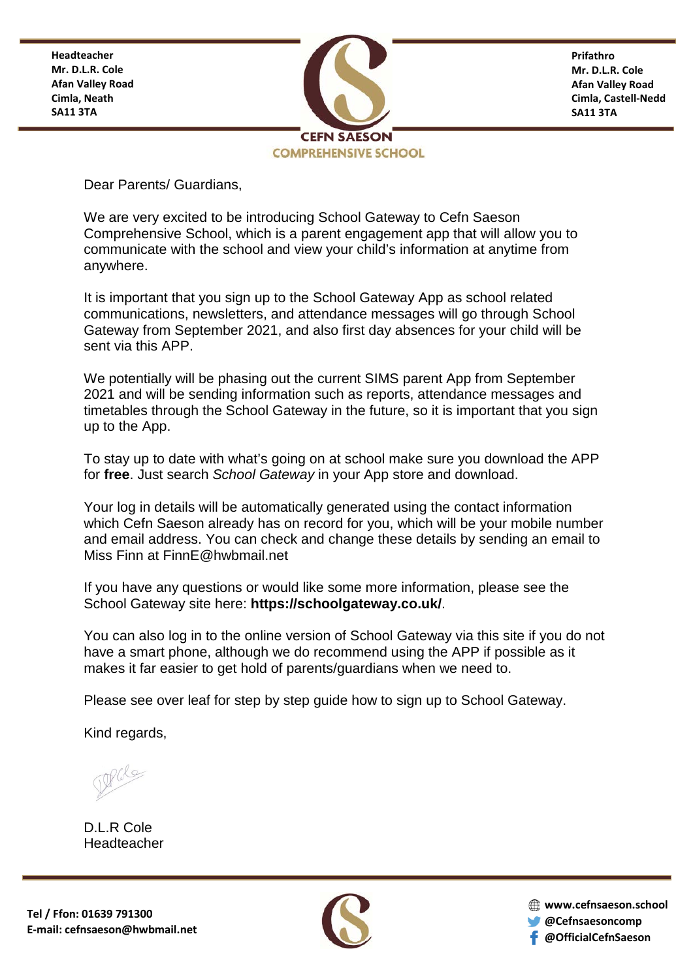**Headteacher Mr. D.L.R. Cole Afan Valley Road Cimla, Neath SA11 3TA**



**Prifathro Mr. D.L.R. Cole Afan Valley Road Cimla, Castell-Nedd SA11 3TA**

Dear Parents/ Guardians,

We are very excited to be introducing School Gateway to Cefn Saeson Comprehensive School, which is a parent engagement app that will allow you to communicate with the school and view your child's information at anytime from anywhere.

It is important that you sign up to the School Gateway App as school related communications, newsletters, and attendance messages will go through School Gateway from September 2021, and also first day absences for your child will be sent via this APP.

We potentially will be phasing out the current SIMS parent App from September 2021 and will be sending information such as reports, attendance messages and timetables through the School Gateway in the future, so it is important that you sign up to the App.

To stay up to date with what's going on at school make sure you download the APP for **free**. Just search *School Gateway* in your App store and download.

Your log in details will be automatically generated using the contact information which Cefn Saeson already has on record for you, which will be your mobile number and email address. You can check and change these details by sending an email to Miss Finn at [FinnE@hwbmail.net](mailto:FinnE@hwbmail.net)

If you have any questions or would like some more information, please see the School Gateway site here: **<https://schoolgateway.co.uk/>**.

You can also log in to the online version of School Gateway via this site if you do not have a smart phone, although we do recommend using the APP if possible as it makes it far easier to get hold of parents/guardians when we need to.

Please see over leaf for step by step guide how to sign up to School Gateway.

Kind regards,

D.L.R Cole Headteacher



**www.cefnsaeson.school @Cefnsaesoncomp @OfficialCefnSaeson**